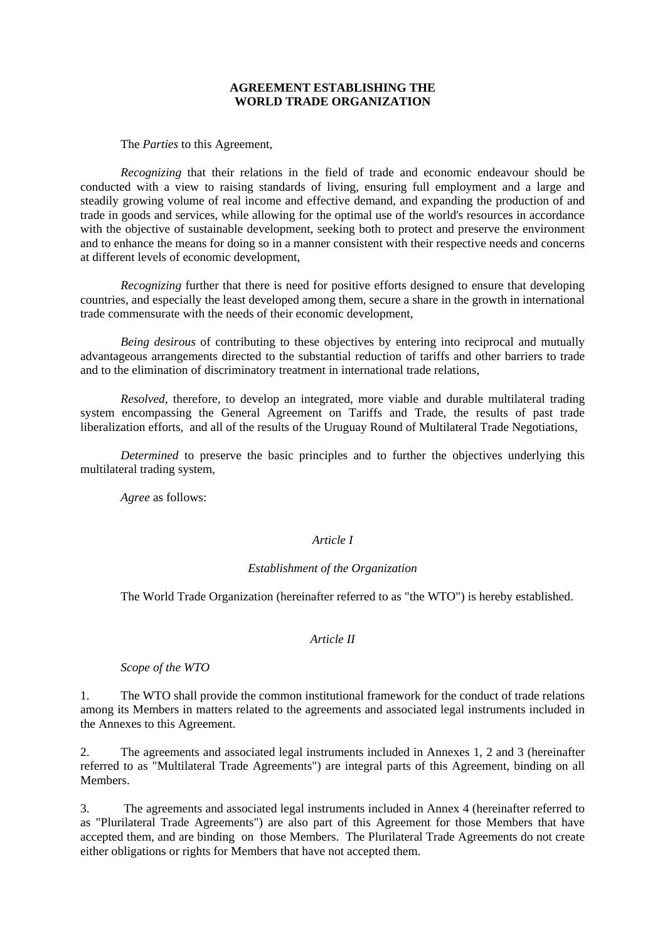## **AGREEMENT ESTABLISHING THE WORLD TRADE ORGANIZATION**

The *Parties* to this Agreement,

*Recognizing* that their relations in the field of trade and economic endeavour should be conducted with a view to raising standards of living, ensuring full employment and a large and steadily growing volume of real income and effective demand, and expanding the production of and trade in goods and services, while allowing for the optimal use of the world's resources in accordance with the objective of sustainable development, seeking both to protect and preserve the environment and to enhance the means for doing so in a manner consistent with their respective needs and concerns at different levels of economic development,

*Recognizing* further that there is need for positive efforts designed to ensure that developing countries, and especially the least developed among them, secure a share in the growth in international trade commensurate with the needs of their economic development,

*Being desirous* of contributing to these objectives by entering into reciprocal and mutually advantageous arrangements directed to the substantial reduction of tariffs and other barriers to trade and to the elimination of discriminatory treatment in international trade relations,

*Resolved*, therefore, to develop an integrated, more viable and durable multilateral trading system encompassing the General Agreement on Tariffs and Trade, the results of past trade liberalization efforts, and all of the results of the Uruguay Round of Multilateral Trade Negotiations,

*Determined* to preserve the basic principles and to further the objectives underlying this multilateral trading system,

*Agree* as follows:

## *Article I*

## *Establishment of the Organization*

The World Trade Organization (hereinafter referred to as "the WTO") is hereby established.

## *Article II*

## *Scope of the WTO*

1. The WTO shall provide the common institutional framework for the conduct of trade relations among its Members in matters related to the agreements and associated legal instruments included in the Annexes to this Agreement.

2. The agreements and associated legal instruments included in Annexes 1, 2 and 3 (hereinafter referred to as "Multilateral Trade Agreements") are integral parts of this Agreement, binding on all Members.

3. The agreements and associated legal instruments included in Annex 4 (hereinafter referred to as "Plurilateral Trade Agreements") are also part of this Agreement for those Members that have accepted them, and are binding on those Members. The Plurilateral Trade Agreements do not create either obligations or rights for Members that have not accepted them.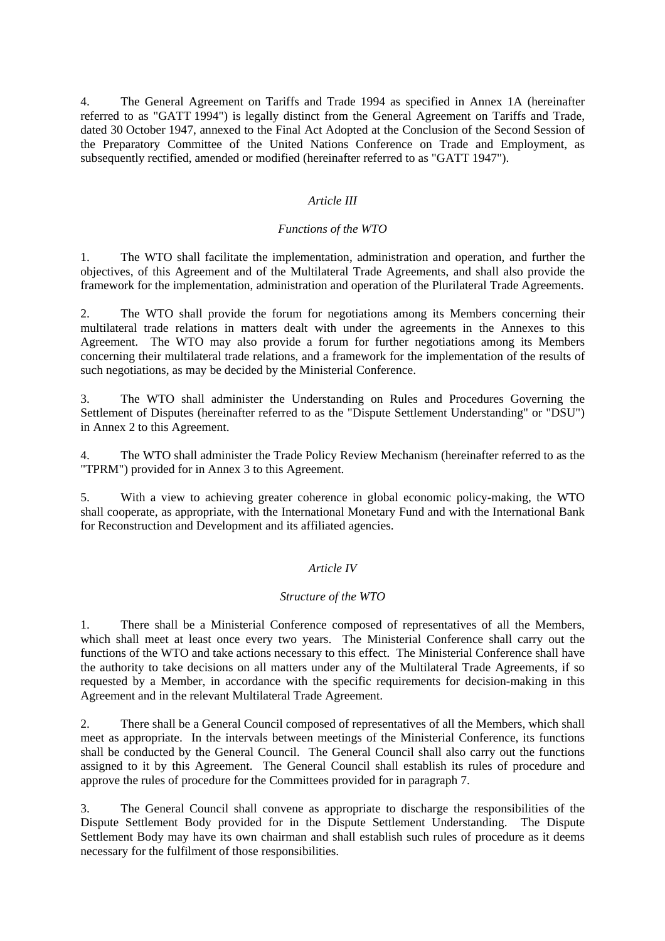4. The General Agreement on Tariffs and Trade 1994 as specified in Annex 1A (hereinafter referred to as "GATT 1994") is legally distinct from the General Agreement on Tariffs and Trade, dated 30 October 1947, annexed to the Final Act Adopted at the Conclusion of the Second Session of the Preparatory Committee of the United Nations Conference on Trade and Employment, as subsequently rectified, amended or modified (hereinafter referred to as "GATT 1947").

## *Article III*

## *Functions of the WTO*

1. The WTO shall facilitate the implementation, administration and operation, and further the objectives, of this Agreement and of the Multilateral Trade Agreements, and shall also provide the framework for the implementation, administration and operation of the Plurilateral Trade Agreements.

2. The WTO shall provide the forum for negotiations among its Members concerning their multilateral trade relations in matters dealt with under the agreements in the Annexes to this Agreement. The WTO may also provide a forum for further negotiations among its Members concerning their multilateral trade relations, and a framework for the implementation of the results of such negotiations, as may be decided by the Ministerial Conference.

3. The WTO shall administer the Understanding on Rules and Procedures Governing the Settlement of Disputes (hereinafter referred to as the "Dispute Settlement Understanding" or "DSU") in Annex 2 to this Agreement.

4. The WTO shall administer the Trade Policy Review Mechanism (hereinafter referred to as the "TPRM") provided for in Annex 3 to this Agreement.

5. With a view to achieving greater coherence in global economic policy-making, the WTO shall cooperate, as appropriate, with the International Monetary Fund and with the International Bank for Reconstruction and Development and its affiliated agencies.

## *Article IV*

## *Structure of the WTO*

1. There shall be a Ministerial Conference composed of representatives of all the Members, which shall meet at least once every two years. The Ministerial Conference shall carry out the functions of the WTO and take actions necessary to this effect. The Ministerial Conference shall have the authority to take decisions on all matters under any of the Multilateral Trade Agreements, if so requested by a Member, in accordance with the specific requirements for decision-making in this Agreement and in the relevant Multilateral Trade Agreement.

2. There shall be a General Council composed of representatives of all the Members, which shall meet as appropriate. In the intervals between meetings of the Ministerial Conference, its functions shall be conducted by the General Council. The General Council shall also carry out the functions assigned to it by this Agreement. The General Council shall establish its rules of procedure and approve the rules of procedure for the Committees provided for in paragraph 7.

3. The General Council shall convene as appropriate to discharge the responsibilities of the Dispute Settlement Body provided for in the Dispute Settlement Understanding. The Dispute Settlement Body may have its own chairman and shall establish such rules of procedure as it deems necessary for the fulfilment of those responsibilities.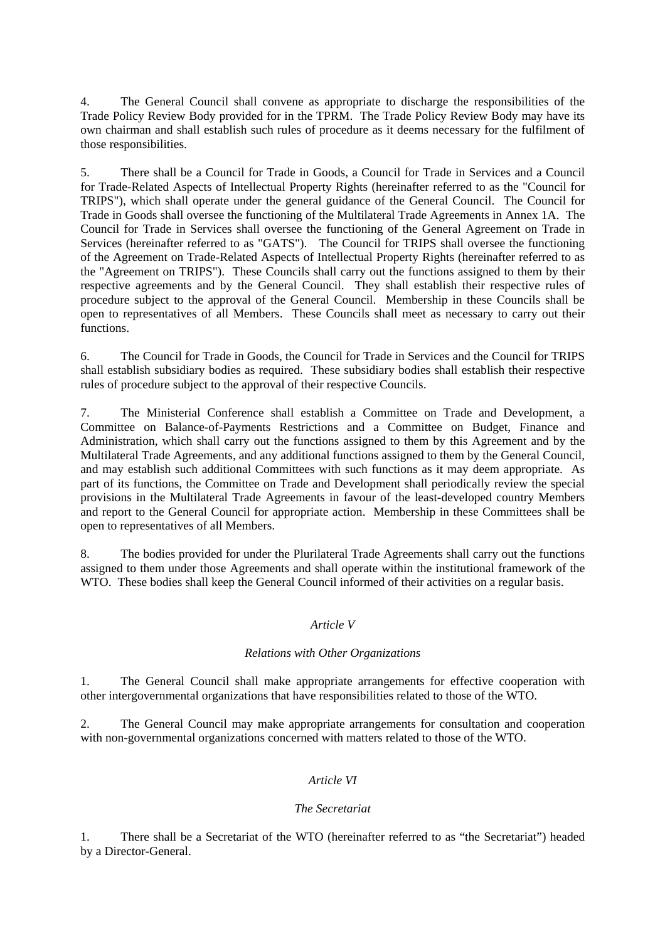4. The General Council shall convene as appropriate to discharge the responsibilities of the Trade Policy Review Body provided for in the TPRM. The Trade Policy Review Body may have its own chairman and shall establish such rules of procedure as it deems necessary for the fulfilment of those responsibilities.

5. There shall be a Council for Trade in Goods, a Council for Trade in Services and a Council for Trade-Related Aspects of Intellectual Property Rights (hereinafter referred to as the "Council for TRIPS"), which shall operate under the general guidance of the General Council. The Council for Trade in Goods shall oversee the functioning of the Multilateral Trade Agreements in Annex 1A. The Council for Trade in Services shall oversee the functioning of the General Agreement on Trade in Services (hereinafter referred to as "GATS"). The Council for TRIPS shall oversee the functioning of the Agreement on Trade-Related Aspects of Intellectual Property Rights (hereinafter referred to as the "Agreement on TRIPS"). These Councils shall carry out the functions assigned to them by their respective agreements and by the General Council. They shall establish their respective rules of procedure subject to the approval of the General Council. Membership in these Councils shall be open to representatives of all Members. These Councils shall meet as necessary to carry out their functions.

6. The Council for Trade in Goods, the Council for Trade in Services and the Council for TRIPS shall establish subsidiary bodies as required. These subsidiary bodies shall establish their respective rules of procedure subject to the approval of their respective Councils.

7. The Ministerial Conference shall establish a Committee on Trade and Development, a Committee on Balance-of-Payments Restrictions and a Committee on Budget, Finance and Administration, which shall carry out the functions assigned to them by this Agreement and by the Multilateral Trade Agreements, and any additional functions assigned to them by the General Council, and may establish such additional Committees with such functions as it may deem appropriate. As part of its functions, the Committee on Trade and Development shall periodically review the special provisions in the Multilateral Trade Agreements in favour of the least-developed country Members and report to the General Council for appropriate action. Membership in these Committees shall be open to representatives of all Members.

8. The bodies provided for under the Plurilateral Trade Agreements shall carry out the functions assigned to them under those Agreements and shall operate within the institutional framework of the WTO. These bodies shall keep the General Council informed of their activities on a regular basis.

## *Article V*

## *Relations with Other Organizations*

1. The General Council shall make appropriate arrangements for effective cooperation with other intergovernmental organizations that have responsibilities related to those of the WTO.

2. The General Council may make appropriate arrangements for consultation and cooperation with non-governmental organizations concerned with matters related to those of the WTO.

## *Article VI*

## *The Secretariat*

1. There shall be a Secretariat of the WTO (hereinafter referred to as "the Secretariat") headed by a Director-General.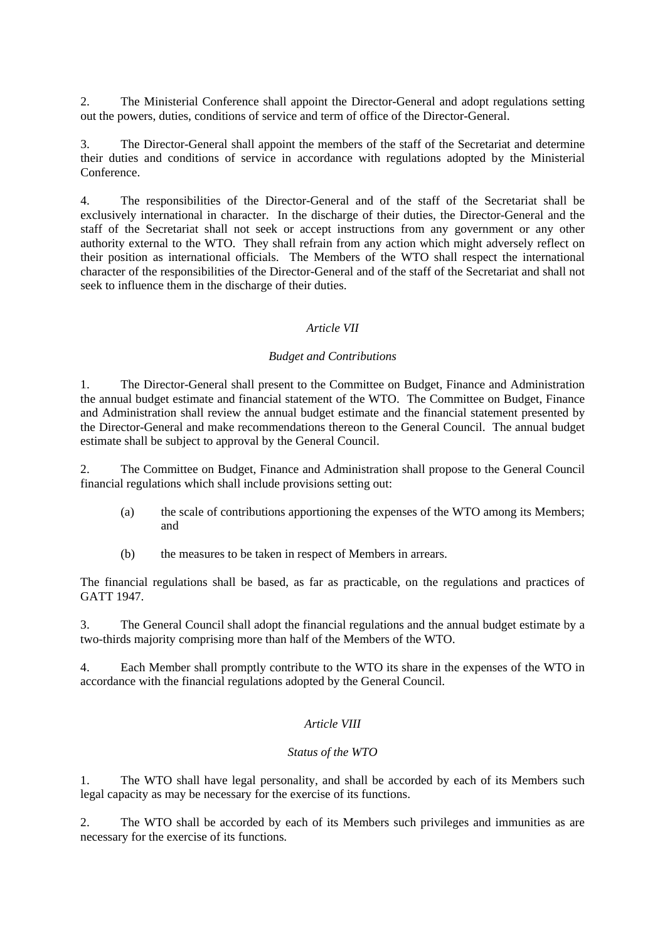2. The Ministerial Conference shall appoint the Director-General and adopt regulations setting out the powers, duties, conditions of service and term of office of the Director-General.

3. The Director-General shall appoint the members of the staff of the Secretariat and determine their duties and conditions of service in accordance with regulations adopted by the Ministerial Conference.

4. The responsibilities of the Director-General and of the staff of the Secretariat shall be exclusively international in character. In the discharge of their duties, the Director-General and the staff of the Secretariat shall not seek or accept instructions from any government or any other authority external to the WTO. They shall refrain from any action which might adversely reflect on their position as international officials. The Members of the WTO shall respect the international character of the responsibilities of the Director-General and of the staff of the Secretariat and shall not seek to influence them in the discharge of their duties.

## *Article VII*

## *Budget and Contributions*

1. The Director-General shall present to the Committee on Budget, Finance and Administration the annual budget estimate and financial statement of the WTO. The Committee on Budget, Finance and Administration shall review the annual budget estimate and the financial statement presented by the Director-General and make recommendations thereon to the General Council. The annual budget estimate shall be subject to approval by the General Council.

2. The Committee on Budget, Finance and Administration shall propose to the General Council financial regulations which shall include provisions setting out:

- (a) the scale of contributions apportioning the expenses of the WTO among its Members; and
- (b) the measures to be taken in respect of Members in arrears.

The financial regulations shall be based, as far as practicable, on the regulations and practices of GATT 1947.

3. The General Council shall adopt the financial regulations and the annual budget estimate by a two-thirds majority comprising more than half of the Members of the WTO.

4. Each Member shall promptly contribute to the WTO its share in the expenses of the WTO in accordance with the financial regulations adopted by the General Council.

## *Article VIII*

## *Status of the WTO*

1. The WTO shall have legal personality, and shall be accorded by each of its Members such legal capacity as may be necessary for the exercise of its functions.

2. The WTO shall be accorded by each of its Members such privileges and immunities as are necessary for the exercise of its functions.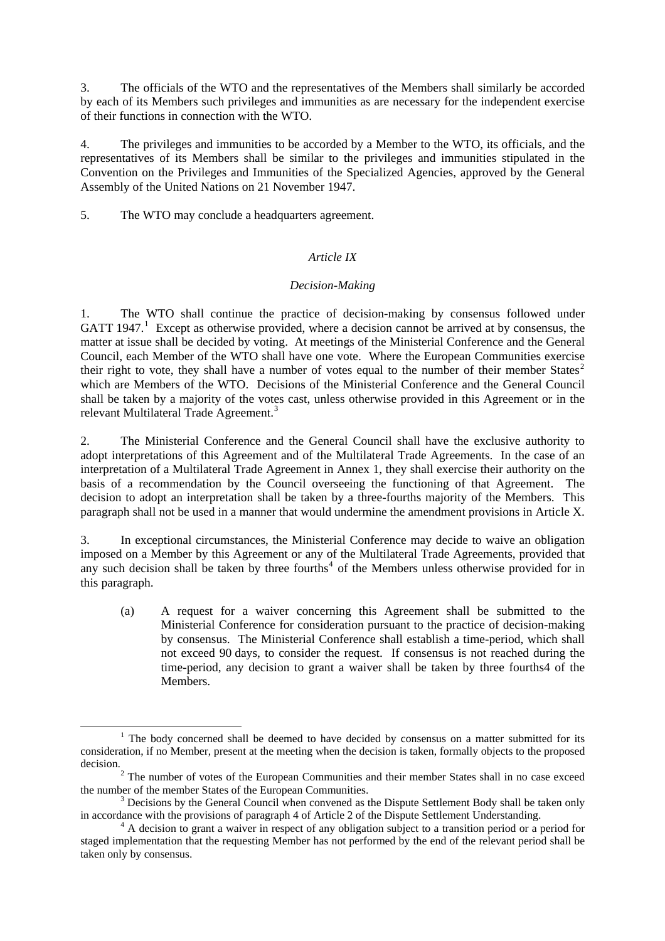3. The officials of the WTO and the representatives of the Members shall similarly be accorded by each of its Members such privileges and immunities as are necessary for the independent exercise of their functions in connection with the WTO.

4. The privileges and immunities to be accorded by a Member to the WTO, its officials, and the representatives of its Members shall be similar to the privileges and immunities stipulated in the Convention on the Privileges and Immunities of the Specialized Agencies, approved by the General Assembly of the United Nations on 21 November 1947.

5. The WTO may conclude a headquarters agreement.

## *Article IX*

## *Decision-Making*

1. The WTO shall continue the practice of decision-making by consensus followed under GATT  $1947<sup>1</sup>$  $1947<sup>1</sup>$  Except as otherwise provided, where a decision cannot be arrived at by consensus, the matter at issue shall be decided by voting. At meetings of the Ministerial Conference and the General Council, each Member of the WTO shall have one vote. Where the European Communities exercise their right to vote, they shall have a number of votes equal to the number of their member  $\text{States}^2$  $\text{States}^2$ which are Members of the WTO. Decisions of the Ministerial Conference and the General Council shall be taken by a majority of the votes cast, unless otherwise provided in this Agreement or in the relevant Multilateral Trade Agreement.<sup>[3](#page-4-2)</sup>

2. The Ministerial Conference and the General Council shall have the exclusive authority to adopt interpretations of this Agreement and of the Multilateral Trade Agreements. In the case of an interpretation of a Multilateral Trade Agreement in Annex 1, they shall exercise their authority on the basis of a recommendation by the Council overseeing the functioning of that Agreement. The decision to adopt an interpretation shall be taken by a three-fourths majority of the Members. This paragraph shall not be used in a manner that would undermine the amendment provisions in Article X.

3. In exceptional circumstances, the Ministerial Conference may decide to waive an obligation imposed on a Member by this Agreement or any of the Multilateral Trade Agreements, provided that any such decision shall be taken by three fourths<sup>[4](#page-4-3)</sup> of the Members unless otherwise provided for in this paragraph.

 (a) A request for a waiver concerning this Agreement shall be submitted to the Ministerial Conference for consideration pursuant to the practice of decision-making by consensus. The Ministerial Conference shall establish a time-period, which shall not exceed 90 days, to consider the request. If consensus is not reached during the time-period, any decision to grant a waiver shall be taken by three fourths4 of the **Members** 

<span id="page-4-0"></span><sup>&</sup>lt;u>1</u>  $1$  The body concerned shall be deemed to have decided by consensus on a matter submitted for its consideration, if no Member, present at the meeting when the decision is taken, formally objects to the proposed decision.

<span id="page-4-1"></span> $\frac{1}{2}$  The number of votes of the European Communities and their member States shall in no case exceed the number of the member States of the European Communities.

<span id="page-4-2"></span> $3$  Decisions by the General Council when convened as the Dispute Settlement Body shall be taken only in accordance with the provisions of paragraph 4 of Article 2 of the Dispute Settlement Understanding. 4

<span id="page-4-3"></span> $^4$  A decision to grant a waiver in respect of any obligation subject to a transition period or a period for staged implementation that the requesting Member has not performed by the end of the relevant period shall be taken only by consensus.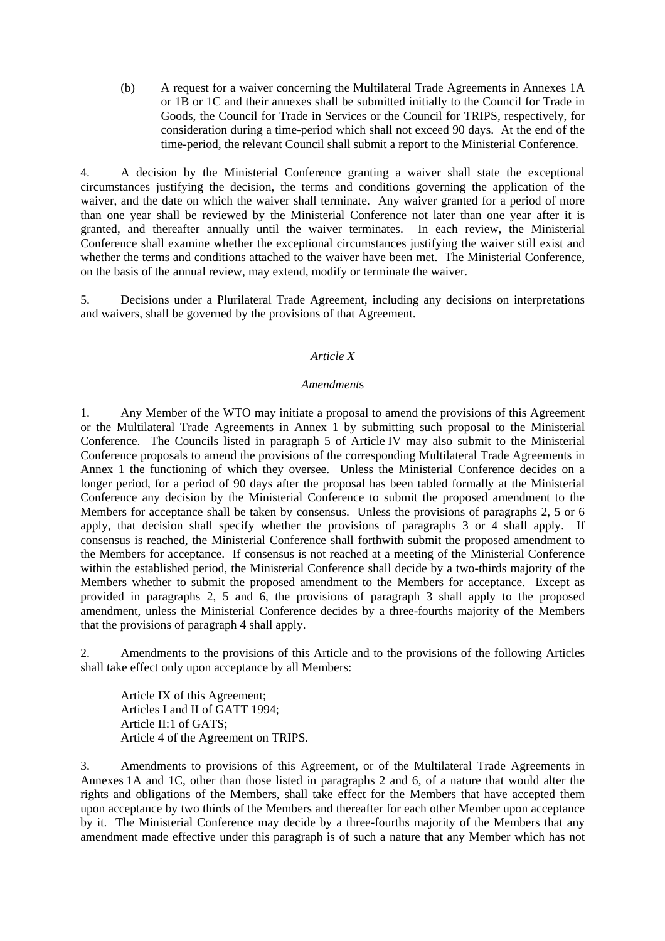(b) A request for a waiver concerning the Multilateral Trade Agreements in Annexes 1A or 1B or 1C and their annexes shall be submitted initially to the Council for Trade in Goods, the Council for Trade in Services or the Council for TRIPS, respectively, for consideration during a time-period which shall not exceed 90 days. At the end of the time-period, the relevant Council shall submit a report to the Ministerial Conference.

4. A decision by the Ministerial Conference granting a waiver shall state the exceptional circumstances justifying the decision, the terms and conditions governing the application of the waiver, and the date on which the waiver shall terminate. Any waiver granted for a period of more than one year shall be reviewed by the Ministerial Conference not later than one year after it is granted, and thereafter annually until the waiver terminates. In each review, the Ministerial Conference shall examine whether the exceptional circumstances justifying the waiver still exist and whether the terms and conditions attached to the waiver have been met. The Ministerial Conference, on the basis of the annual review, may extend, modify or terminate the waiver.

5. Decisions under a Plurilateral Trade Agreement, including any decisions on interpretations and waivers, shall be governed by the provisions of that Agreement.

## *Article X*

#### *Amendment*s

1. Any Member of the WTO may initiate a proposal to amend the provisions of this Agreement or the Multilateral Trade Agreements in Annex 1 by submitting such proposal to the Ministerial Conference. The Councils listed in paragraph 5 of Article IV may also submit to the Ministerial Conference proposals to amend the provisions of the corresponding Multilateral Trade Agreements in Annex 1 the functioning of which they oversee. Unless the Ministerial Conference decides on a longer period, for a period of 90 days after the proposal has been tabled formally at the Ministerial Conference any decision by the Ministerial Conference to submit the proposed amendment to the Members for acceptance shall be taken by consensus. Unless the provisions of paragraphs 2, 5 or 6 apply, that decision shall specify whether the provisions of paragraphs 3 or 4 shall apply. If consensus is reached, the Ministerial Conference shall forthwith submit the proposed amendment to the Members for acceptance. If consensus is not reached at a meeting of the Ministerial Conference within the established period, the Ministerial Conference shall decide by a two-thirds majority of the Members whether to submit the proposed amendment to the Members for acceptance. Except as provided in paragraphs 2, 5 and 6, the provisions of paragraph 3 shall apply to the proposed amendment, unless the Ministerial Conference decides by a three-fourths majority of the Members that the provisions of paragraph 4 shall apply.

2. Amendments to the provisions of this Article and to the provisions of the following Articles shall take effect only upon acceptance by all Members:

 Article IX of this Agreement; Articles I and II of GATT 1994; Article II:1 of GATS; Article 4 of the Agreement on TRIPS.

3. Amendments to provisions of this Agreement, or of the Multilateral Trade Agreements in Annexes 1A and 1C, other than those listed in paragraphs 2 and 6, of a nature that would alter the rights and obligations of the Members, shall take effect for the Members that have accepted them upon acceptance by two thirds of the Members and thereafter for each other Member upon acceptance by it. The Ministerial Conference may decide by a three-fourths majority of the Members that any amendment made effective under this paragraph is of such a nature that any Member which has not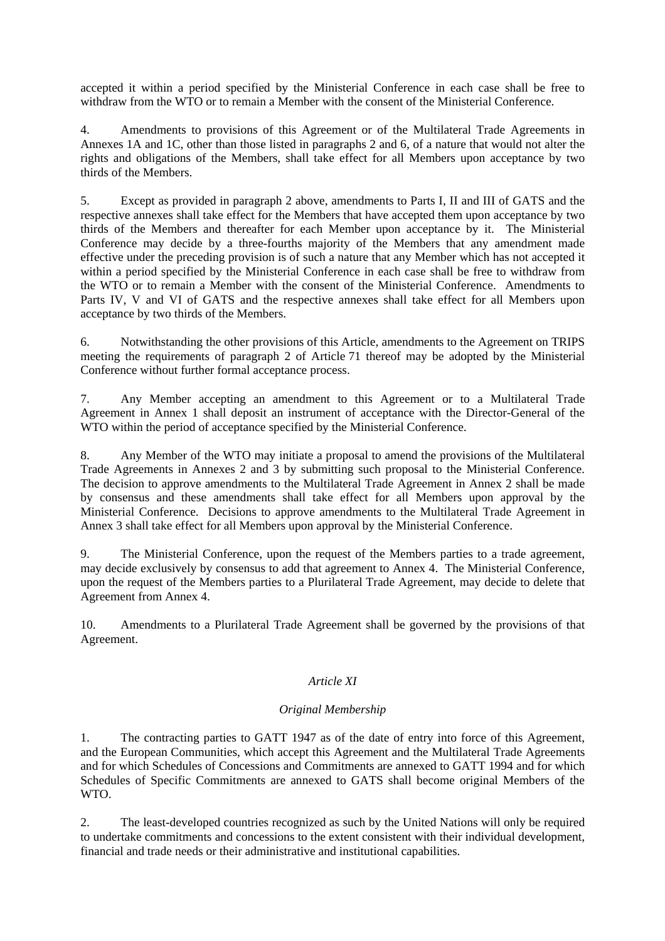accepted it within a period specified by the Ministerial Conference in each case shall be free to withdraw from the WTO or to remain a Member with the consent of the Ministerial Conference.

4. Amendments to provisions of this Agreement or of the Multilateral Trade Agreements in Annexes 1A and 1C, other than those listed in paragraphs 2 and 6, of a nature that would not alter the rights and obligations of the Members, shall take effect for all Members upon acceptance by two thirds of the Members.

5. Except as provided in paragraph 2 above, amendments to Parts I, II and III of GATS and the respective annexes shall take effect for the Members that have accepted them upon acceptance by two thirds of the Members and thereafter for each Member upon acceptance by it. The Ministerial Conference may decide by a three-fourths majority of the Members that any amendment made effective under the preceding provision is of such a nature that any Member which has not accepted it within a period specified by the Ministerial Conference in each case shall be free to withdraw from the WTO or to remain a Member with the consent of the Ministerial Conference. Amendments to Parts IV, V and VI of GATS and the respective annexes shall take effect for all Members upon acceptance by two thirds of the Members.

6. Notwithstanding the other provisions of this Article, amendments to the Agreement on TRIPS meeting the requirements of paragraph 2 of Article 71 thereof may be adopted by the Ministerial Conference without further formal acceptance process.

7. Any Member accepting an amendment to this Agreement or to a Multilateral Trade Agreement in Annex 1 shall deposit an instrument of acceptance with the Director-General of the WTO within the period of acceptance specified by the Ministerial Conference.

8. Any Member of the WTO may initiate a proposal to amend the provisions of the Multilateral Trade Agreements in Annexes 2 and 3 by submitting such proposal to the Ministerial Conference. The decision to approve amendments to the Multilateral Trade Agreement in Annex 2 shall be made by consensus and these amendments shall take effect for all Members upon approval by the Ministerial Conference. Decisions to approve amendments to the Multilateral Trade Agreement in Annex 3 shall take effect for all Members upon approval by the Ministerial Conference.

9. The Ministerial Conference, upon the request of the Members parties to a trade agreement, may decide exclusively by consensus to add that agreement to Annex 4. The Ministerial Conference, upon the request of the Members parties to a Plurilateral Trade Agreement, may decide to delete that Agreement from Annex 4.

10. Amendments to a Plurilateral Trade Agreement shall be governed by the provisions of that Agreement.

## *Article XI*

## *Original Membership*

1. The contracting parties to GATT 1947 as of the date of entry into force of this Agreement, and the European Communities, which accept this Agreement and the Multilateral Trade Agreements and for which Schedules of Concessions and Commitments are annexed to GATT 1994 and for which Schedules of Specific Commitments are annexed to GATS shall become original Members of the WTO.

2. The least-developed countries recognized as such by the United Nations will only be required to undertake commitments and concessions to the extent consistent with their individual development, financial and trade needs or their administrative and institutional capabilities.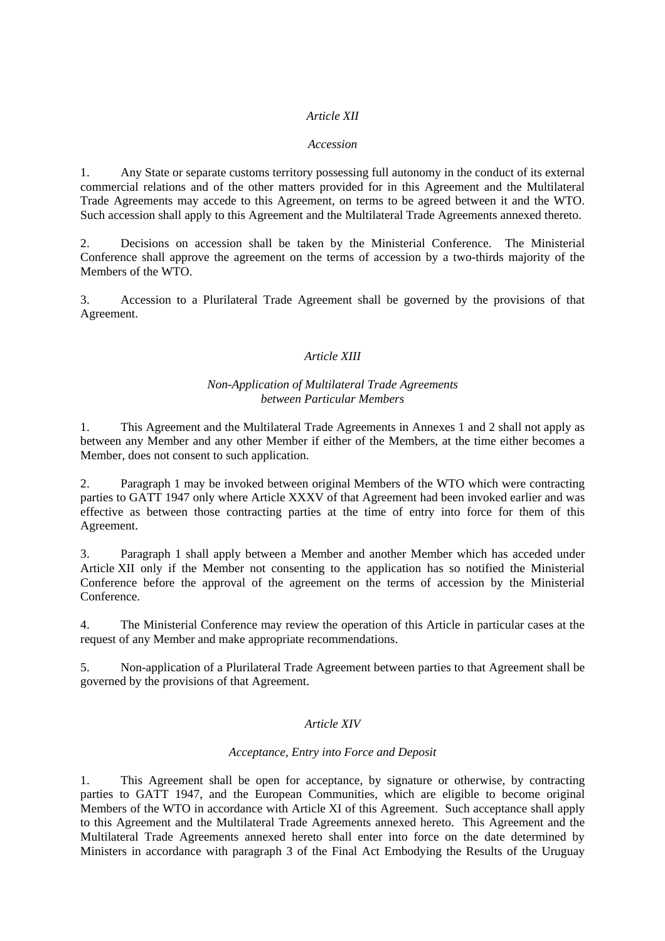#### *Article XII*

#### *Accession*

1. Any State or separate customs territory possessing full autonomy in the conduct of its external commercial relations and of the other matters provided for in this Agreement and the Multilateral Trade Agreements may accede to this Agreement, on terms to be agreed between it and the WTO. Such accession shall apply to this Agreement and the Multilateral Trade Agreements annexed thereto.

2. Decisions on accession shall be taken by the Ministerial Conference. The Ministerial Conference shall approve the agreement on the terms of accession by a two-thirds majority of the Members of the WTO.

3. Accession to a Plurilateral Trade Agreement shall be governed by the provisions of that Agreement.

## *Article XIII*

## *Non-Application of Multilateral Trade Agreements between Particular Members*

1. This Agreement and the Multilateral Trade Agreements in Annexes 1 and 2 shall not apply as between any Member and any other Member if either of the Members, at the time either becomes a Member, does not consent to such application.

2. Paragraph 1 may be invoked between original Members of the WTO which were contracting parties to GATT 1947 only where Article XXXV of that Agreement had been invoked earlier and was effective as between those contracting parties at the time of entry into force for them of this Agreement.

3. Paragraph 1 shall apply between a Member and another Member which has acceded under Article XII only if the Member not consenting to the application has so notified the Ministerial Conference before the approval of the agreement on the terms of accession by the Ministerial Conference.

4. The Ministerial Conference may review the operation of this Article in particular cases at the request of any Member and make appropriate recommendations.

5. Non-application of a Plurilateral Trade Agreement between parties to that Agreement shall be governed by the provisions of that Agreement.

## *Article XIV*

## *Acceptance, Entry into Force and Deposit*

1. This Agreement shall be open for acceptance, by signature or otherwise, by contracting parties to GATT 1947, and the European Communities, which are eligible to become original Members of the WTO in accordance with Article XI of this Agreement. Such acceptance shall apply to this Agreement and the Multilateral Trade Agreements annexed hereto. This Agreement and the Multilateral Trade Agreements annexed hereto shall enter into force on the date determined by Ministers in accordance with paragraph 3 of the Final Act Embodying the Results of the Uruguay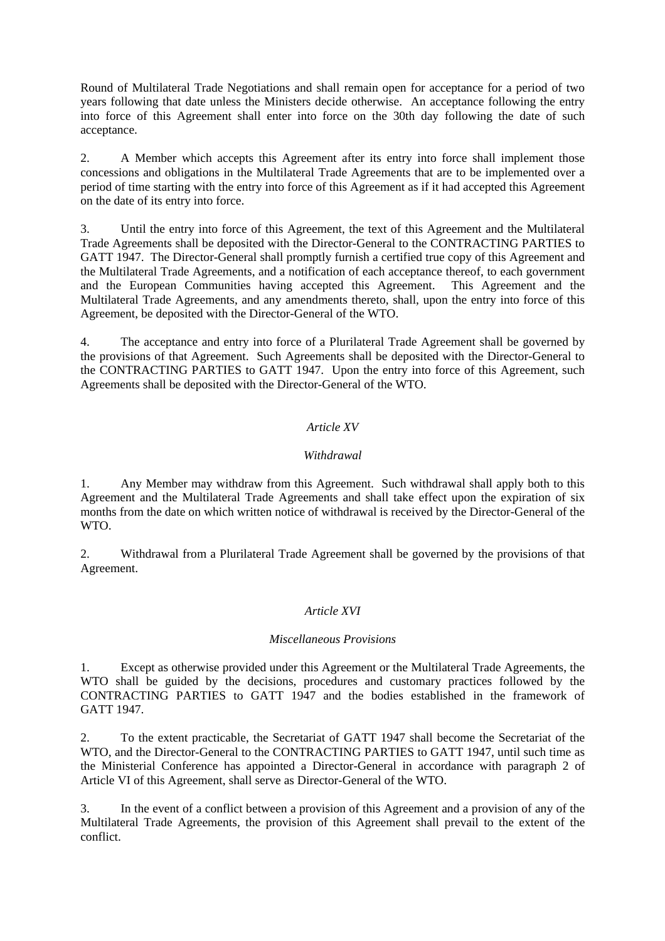Round of Multilateral Trade Negotiations and shall remain open for acceptance for a period of two years following that date unless the Ministers decide otherwise. An acceptance following the entry into force of this Agreement shall enter into force on the 30th day following the date of such acceptance.

2. A Member which accepts this Agreement after its entry into force shall implement those concessions and obligations in the Multilateral Trade Agreements that are to be implemented over a period of time starting with the entry into force of this Agreement as if it had accepted this Agreement on the date of its entry into force.

3. Until the entry into force of this Agreement, the text of this Agreement and the Multilateral Trade Agreements shall be deposited with the Director-General to the CONTRACTING PARTIES to GATT 1947. The Director-General shall promptly furnish a certified true copy of this Agreement and the Multilateral Trade Agreements, and a notification of each acceptance thereof, to each government and the European Communities having accepted this Agreement. This Agreement and the Multilateral Trade Agreements, and any amendments thereto, shall, upon the entry into force of this Agreement, be deposited with the Director-General of the WTO.

4. The acceptance and entry into force of a Plurilateral Trade Agreement shall be governed by the provisions of that Agreement. Such Agreements shall be deposited with the Director-General to the CONTRACTING PARTIES to GATT 1947. Upon the entry into force of this Agreement, such Agreements shall be deposited with the Director-General of the WTO.

## *Article XV*

## *Withdrawal*

1. Any Member may withdraw from this Agreement. Such withdrawal shall apply both to this Agreement and the Multilateral Trade Agreements and shall take effect upon the expiration of six months from the date on which written notice of withdrawal is received by the Director-General of the WTO.

2. Withdrawal from a Plurilateral Trade Agreement shall be governed by the provisions of that Agreement.

## *Article XVI*

## *Miscellaneous Provisions*

1. Except as otherwise provided under this Agreement or the Multilateral Trade Agreements, the WTO shall be guided by the decisions, procedures and customary practices followed by the CONTRACTING PARTIES to GATT 1947 and the bodies established in the framework of GATT 1947.

2. To the extent practicable, the Secretariat of GATT 1947 shall become the Secretariat of the WTO, and the Director-General to the CONTRACTING PARTIES to GATT 1947, until such time as the Ministerial Conference has appointed a Director-General in accordance with paragraph 2 of Article VI of this Agreement, shall serve as Director-General of the WTO.

3. In the event of a conflict between a provision of this Agreement and a provision of any of the Multilateral Trade Agreements, the provision of this Agreement shall prevail to the extent of the conflict.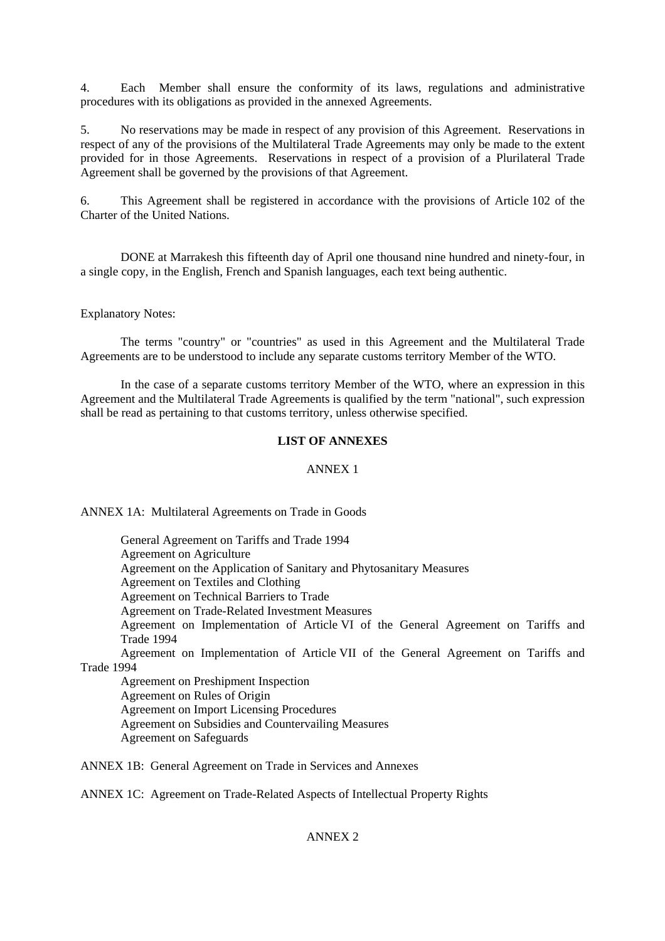4. Each Member shall ensure the conformity of its laws, regulations and administrative procedures with its obligations as provided in the annexed Agreements.

5. No reservations may be made in respect of any provision of this Agreement. Reservations in respect of any of the provisions of the Multilateral Trade Agreements may only be made to the extent provided for in those Agreements. Reservations in respect of a provision of a Plurilateral Trade Agreement shall be governed by the provisions of that Agreement.

6. This Agreement shall be registered in accordance with the provisions of Article 102 of the Charter of the United Nations.

 DONE at Marrakesh this fifteenth day of April one thousand nine hundred and ninety-four, in a single copy, in the English, French and Spanish languages, each text being authentic.

Explanatory Notes:

 The terms "country" or "countries" as used in this Agreement and the Multilateral Trade Agreements are to be understood to include any separate customs territory Member of the WTO.

 In the case of a separate customs territory Member of the WTO, where an expression in this Agreement and the Multilateral Trade Agreements is qualified by the term "national", such expression shall be read as pertaining to that customs territory, unless otherwise specified.

## **LIST OF ANNEXES**

## ANNEX 1

ANNEX 1A: Multilateral Agreements on Trade in Goods

General Agreement on Tariffs and Trade 1994 Agreement on Agriculture Agreement on the Application of Sanitary and Phytosanitary Measures Agreement on Textiles and Clothing Agreement on Technical Barriers to Trade Agreement on Trade-Related Investment Measures Agreement on Implementation of Article VI of the General Agreement on Tariffs and Trade 1994 Agreement on Implementation of Article VII of the General Agreement on Tariffs and Trade 1994 Agreement on Preshipment Inspection Agreement on Rules of Origin Agreement on Import Licensing Procedures Agreement on Subsidies and Countervailing Measures Agreement on Safeguards

ANNEX 1B: General Agreement on Trade in Services and Annexes

ANNEX 1C: Agreement on Trade-Related Aspects of Intellectual Property Rights

## ANNEX 2